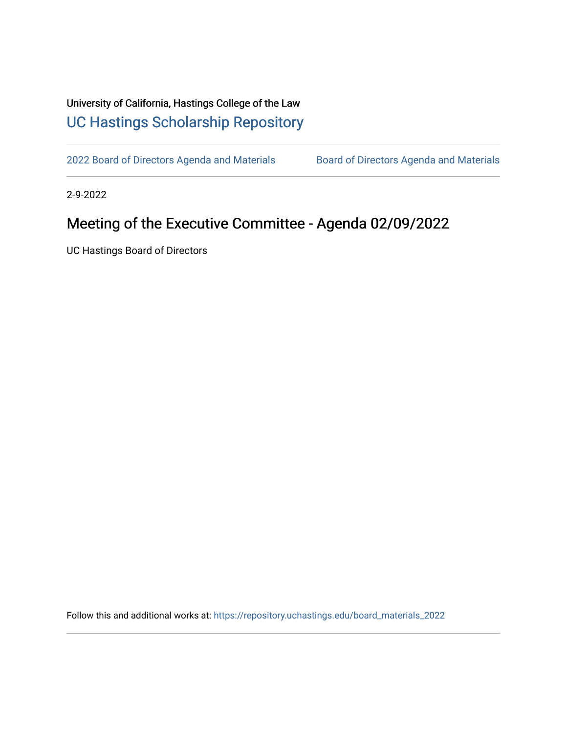## University of California, Hastings College of the Law [UC Hastings Scholarship Repository](https://repository.uchastings.edu/)

[2022 Board of Directors Agenda and Materials](https://repository.uchastings.edu/board_materials_2022) Board of Directors Agenda and Materials

2-9-2022

## Meeting of the Executive Committee - Agenda 02/09/2022

UC Hastings Board of Directors

Follow this and additional works at: [https://repository.uchastings.edu/board\\_materials\\_2022](https://repository.uchastings.edu/board_materials_2022?utm_source=repository.uchastings.edu%2Fboard_materials_2022%2F14&utm_medium=PDF&utm_campaign=PDFCoverPages)